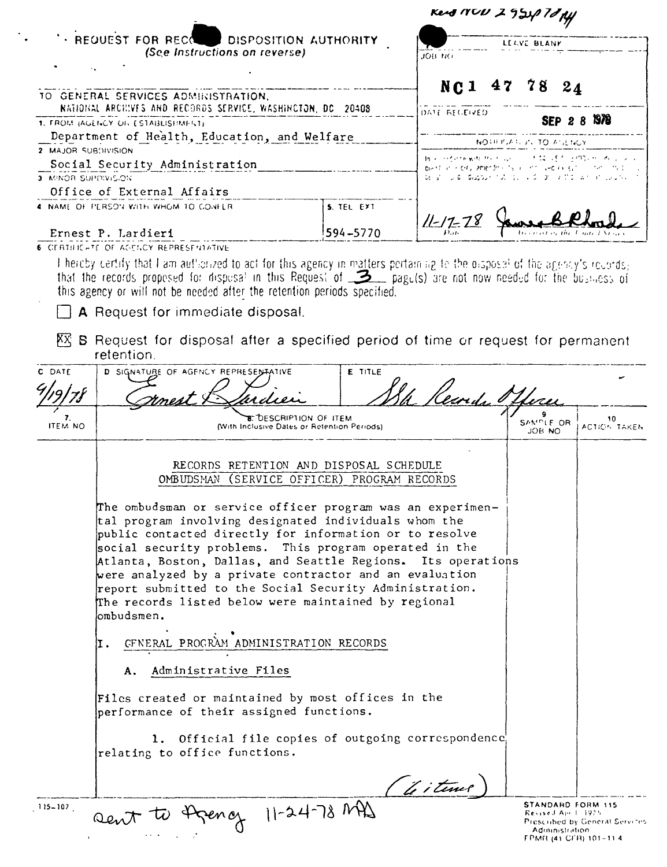|                                                                                            |                                                                                                                                                                                                                                                                                                                                                                                                                                                  | Kend NUN 295478M |                                                                                                                                |    |                                                                   |                |                                |
|--------------------------------------------------------------------------------------------|--------------------------------------------------------------------------------------------------------------------------------------------------------------------------------------------------------------------------------------------------------------------------------------------------------------------------------------------------------------------------------------------------------------------------------------------------|------------------|--------------------------------------------------------------------------------------------------------------------------------|----|-------------------------------------------------------------------|----------------|--------------------------------|
| <b>. REQUEST FOR RECO</b><br><b>DISPOSITION AUTHORITY</b><br>(See Instructions on reverse) |                                                                                                                                                                                                                                                                                                                                                                                                                                                  | LEAVE BLANK      |                                                                                                                                |    |                                                                   |                |                                |
|                                                                                            |                                                                                                                                                                                                                                                                                                                                                                                                                                                  |                  | JOB NO                                                                                                                         |    |                                                                   |                |                                |
|                                                                                            | TO GENERAL SERVICES ADMINISTRATION,                                                                                                                                                                                                                                                                                                                                                                                                              |                  | NC <sub>1</sub>                                                                                                                | 47 | -78                                                               | 24             |                                |
|                                                                                            | NATIONAL ARCHIVES AND RECORDS SERVICE, WASHINGTON, DC 20408                                                                                                                                                                                                                                                                                                                                                                                      |                  | DATE RECEIVED                                                                                                                  |    |                                                                   |                | <b>1978</b>                    |
|                                                                                            | 1. FROM (AGENCY OF ESTABLISHMENT)<br>Department of Health, Education, and Welfare                                                                                                                                                                                                                                                                                                                                                                |                  |                                                                                                                                |    |                                                                   | -8             |                                |
| 2 MAJOR SUBDIVISION                                                                        |                                                                                                                                                                                                                                                                                                                                                                                                                                                  |                  | 植物 网络网络植物 化混合 人名赫尔顿 经增加利润 医心房                                                                                                  |    | NOTH KIAS LINE TO IAN LINGY                                       |                |                                |
| 3 MINOR SUPPIVISION                                                                        | Social Security Administration                                                                                                                                                                                                                                                                                                                                                                                                                   |                  | building a bit, amendments a card separated to the complete<br>be shown to this track the second of the property of the second |    |                                                                   |                |                                |
|                                                                                            | Office of External Affairs                                                                                                                                                                                                                                                                                                                                                                                                                       |                  |                                                                                                                                |    |                                                                   |                |                                |
|                                                                                            | 4 NAME OF PERSON WITH WHOM TO CONFER                                                                                                                                                                                                                                                                                                                                                                                                             | S. TEL EXT       | $11 - 17 - 78$                                                                                                                 |    |                                                                   |                |                                |
|                                                                                            | Ernest P. Lardieri                                                                                                                                                                                                                                                                                                                                                                                                                               | 594-5770         |                                                                                                                                |    |                                                                   |                |                                |
|                                                                                            | 6 CERTHICATE OF AGENCY REPRESENTATIVE<br>I hereby certify that I am authorized to act for this agency in matters portaining to the orsposal of the agency's roug-ds;                                                                                                                                                                                                                                                                             |                  |                                                                                                                                |    |                                                                   |                |                                |
|                                                                                            | that the records proposed for disposal in this Request of $\Box$ pagu(s) are not now needed for the business of                                                                                                                                                                                                                                                                                                                                  |                  |                                                                                                                                |    |                                                                   |                |                                |
|                                                                                            | this agency or will not be needed after the retention periods specified.                                                                                                                                                                                                                                                                                                                                                                         |                  |                                                                                                                                |    |                                                                   |                |                                |
|                                                                                            | A Request for immediate disposal.                                                                                                                                                                                                                                                                                                                                                                                                                |                  |                                                                                                                                |    |                                                                   |                |                                |
|                                                                                            | XX B Request for disposal after a specified period of time or request for permanent<br>retention.                                                                                                                                                                                                                                                                                                                                                |                  |                                                                                                                                |    |                                                                   |                |                                |
| C DATE                                                                                     | D SIGNATURE OF AGENCY REPRESENTATIVE                                                                                                                                                                                                                                                                                                                                                                                                             | E TITLE          |                                                                                                                                |    |                                                                   |                |                                |
|                                                                                            | nest                                                                                                                                                                                                                                                                                                                                                                                                                                             |                  | Recorde off                                                                                                                    |    |                                                                   |                |                                |
| <b>ITEM NO</b>                                                                             | 8: DESCRIPTION OF ITEM<br>(With Inclusive Dates or Retention Periods)                                                                                                                                                                                                                                                                                                                                                                            |                  |                                                                                                                                |    | SAMPLE OR<br>JOH NO                                               |                | 10<br>ACTION TAKEN             |
|                                                                                            | RECORDS RETENTION AND DISPOSAL SCHEDULE<br>OMBUDSMAN (SERVICE OFFICER) PROGRAM RECORDS<br>The ombudsman or service officer program was an experimen-                                                                                                                                                                                                                                                                                             |                  |                                                                                                                                |    |                                                                   |                |                                |
|                                                                                            | $ $ tal program involving designated individuals whom the<br>public contacted directly for information or to resolve<br>social security problems. This program operated in the<br>Atlanta, Boston, Dallas, and Seattle Regions. Its operations<br>were analyzed by a private contractor and an evaluation $\,$<br>report submitted to the Social Security Administration.<br>The records listed below were maintained by regional<br>lombudsmen. |                  |                                                                                                                                |    |                                                                   |                |                                |
|                                                                                            | CFNERAL PROGRAM ADMINISTRATION RECORDS                                                                                                                                                                                                                                                                                                                                                                                                           |                  |                                                                                                                                |    |                                                                   |                |                                |
|                                                                                            | A. Administrative Files                                                                                                                                                                                                                                                                                                                                                                                                                          |                  |                                                                                                                                |    |                                                                   |                |                                |
|                                                                                            | Files created or maintained by most offices in the<br>performance of their assigned functions.                                                                                                                                                                                                                                                                                                                                                   |                  |                                                                                                                                |    |                                                                   |                |                                |
|                                                                                            | 1. Official file copies of outgoing correspondence<br>relating to office functions.                                                                                                                                                                                                                                                                                                                                                              |                  |                                                                                                                                |    |                                                                   |                |                                |
|                                                                                            |                                                                                                                                                                                                                                                                                                                                                                                                                                                  |                  | 'le iteme                                                                                                                      |    |                                                                   |                |                                |
| 115-107                                                                                    | sent to Agency 11-24-78 MAS                                                                                                                                                                                                                                                                                                                                                                                                                      |                  |                                                                                                                                |    | STANDARD FORM 115<br>Revised April 1925<br>FPMR (41 CFR) 101–11 4 | Administration | Prescribed by General Services |

 $\ddots$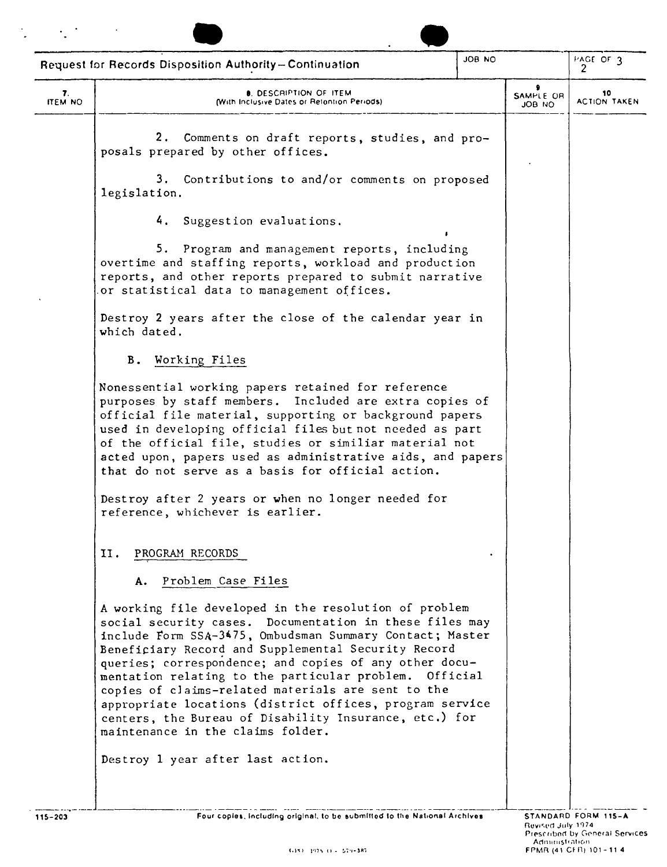| ON BOL<br>Request for Records Disposition Authority-Continuation |                                                                                                                                                                                                                                                                                                                                                                                                                                                                                                                                                                                                               |  | PAGE OF 3           |                           |
|------------------------------------------------------------------|---------------------------------------------------------------------------------------------------------------------------------------------------------------------------------------------------------------------------------------------------------------------------------------------------------------------------------------------------------------------------------------------------------------------------------------------------------------------------------------------------------------------------------------------------------------------------------------------------------------|--|---------------------|---------------------------|
| 7.<br>ITEM NO                                                    | 0. DESCRIPTION OF ITEM<br>(With Inclusive Dates or Retention Periods).                                                                                                                                                                                                                                                                                                                                                                                                                                                                                                                                        |  | SAMPLE OR<br>ON BOL | 10<br><b>ACTION TAKEN</b> |
|                                                                  | 2.<br>Comments on draft reports, studies, and pro-<br>posals prepared by other offices.                                                                                                                                                                                                                                                                                                                                                                                                                                                                                                                       |  |                     |                           |
|                                                                  | 3. Contributions to and/or comments on proposed<br>legislation.                                                                                                                                                                                                                                                                                                                                                                                                                                                                                                                                               |  |                     |                           |
|                                                                  | 4. Suggestion evaluations.                                                                                                                                                                                                                                                                                                                                                                                                                                                                                                                                                                                    |  |                     |                           |
|                                                                  | 5. Program and management reports, including<br>overtime and staffing reports, workload and production<br>reports, and other reports prepared to submit narrative<br>or statistical data to management offices.                                                                                                                                                                                                                                                                                                                                                                                               |  |                     |                           |
|                                                                  | Destroy 2 years after the close of the calendar year in<br>which dated.                                                                                                                                                                                                                                                                                                                                                                                                                                                                                                                                       |  |                     |                           |
|                                                                  | В.<br>Working Files                                                                                                                                                                                                                                                                                                                                                                                                                                                                                                                                                                                           |  |                     |                           |
|                                                                  | Nonessential working papers retained for reference<br>purposes by staff members. Included are extra copies of<br>official file material, supporting or background papers<br>used in developing official files but not needed as part<br>of the official file, studies or similiar material not<br>acted upon, papers used as administrative aids, and papers<br>that do not serve as a basis for official action.<br>Destroy after 2 years or when no longer needed for<br>reference, whichever is earlier.                                                                                                   |  |                     |                           |
|                                                                  |                                                                                                                                                                                                                                                                                                                                                                                                                                                                                                                                                                                                               |  |                     |                           |
|                                                                  | PROGRAM RECORDS<br>11.                                                                                                                                                                                                                                                                                                                                                                                                                                                                                                                                                                                        |  |                     |                           |
|                                                                  | Problem Case Files<br>А.                                                                                                                                                                                                                                                                                                                                                                                                                                                                                                                                                                                      |  |                     |                           |
|                                                                  | A working file developed in the resolution of problem<br>social security cases. Documentation in these files may<br>include Form SSA-3475, Ombudsman Summary Contact; Master<br>Beneficiary Record and Supplemental Security Record<br>queries; correspondence; and copies of any other docu-<br>mentation relating to the particular problem. Official<br>copies of claims-related materials are sent to the<br>appropriate locations (district offices, program service<br>centers, the Bureau of Disability Insurance, etc.) for<br>maintenance in the claims folder.<br>Destroy 1 year after last action. |  |                     |                           |
|                                                                  |                                                                                                                                                                                                                                                                                                                                                                                                                                                                                                                                                                                                               |  |                     |                           |

 $\label{eq:2.1} \frac{d\mathbf{y}}{d\mathbf{x}} = \frac{d\mathbf{y}}{d\mathbf{x}} + \frac{d\mathbf{y}}{d\mathbf{x}} + \frac{d\mathbf{y}}{d\mathbf{x}} + \frac{d\mathbf{y}}{d\mathbf{x}} + \frac{d\mathbf{y}}{d\mathbf{x}}.$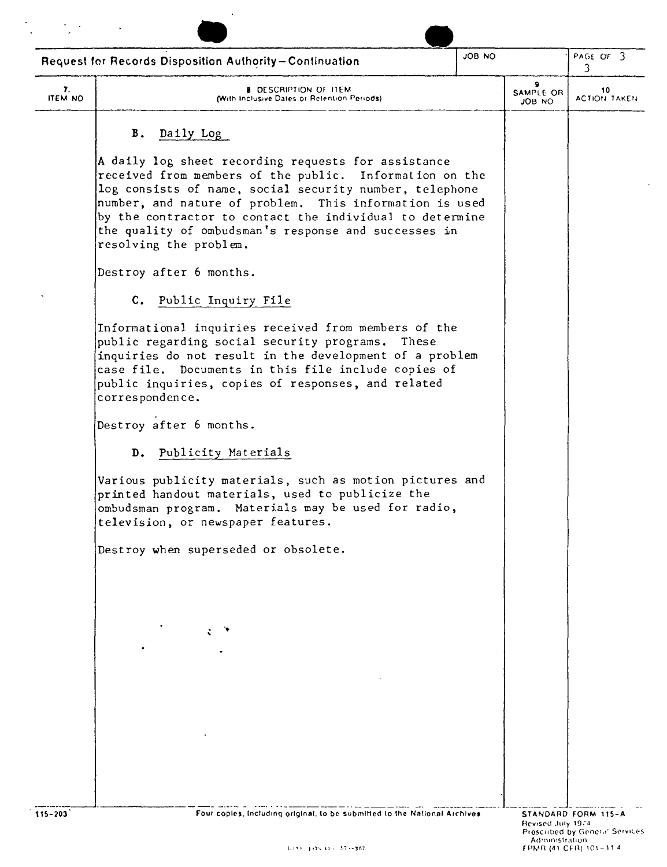| <b>JOB NO</b><br>Request for Records Disposition Authority-Continuation |                                                                                                                                                                                                                                                                                                                                                                                    |  |                     | PAGE OF 3<br>3            |  |
|-------------------------------------------------------------------------|------------------------------------------------------------------------------------------------------------------------------------------------------------------------------------------------------------------------------------------------------------------------------------------------------------------------------------------------------------------------------------|--|---------------------|---------------------------|--|
| 7.<br><b>ITEM NO</b>                                                    | <b>B</b> DESCRIPTION OF ITEM<br>(With Inclusive Dates or Retention Periods)                                                                                                                                                                                                                                                                                                        |  | SAMPLE OR<br>JOB NO | 10<br><b>ACTION TAKEN</b> |  |
|                                                                         | B. Daily Log                                                                                                                                                                                                                                                                                                                                                                       |  |                     |                           |  |
|                                                                         | A daily log sheet recording requests for assistance<br>received from members of the public. Information on the<br>log consists of name, social security number, telephone<br>number, and nature of problem. This information is used<br>by the contractor to contact the individual to determine<br>the quality of ombudsman's response and successes in<br>resolving the problem. |  |                     |                           |  |
|                                                                         | Destroy after 6 months.                                                                                                                                                                                                                                                                                                                                                            |  |                     |                           |  |
|                                                                         | C. Public Inquiry File                                                                                                                                                                                                                                                                                                                                                             |  |                     |                           |  |
|                                                                         | Informational inquiries received from members of the<br>public regarding social security programs. These<br>inquiries do not result in the development of a problem<br>case file. Documents in this file include copies of<br>public inquiries, copies of responses, and related<br>correspondence.                                                                                |  |                     |                           |  |
|                                                                         | Destroy after 6 months.                                                                                                                                                                                                                                                                                                                                                            |  |                     |                           |  |
|                                                                         | D. Publicity Materials                                                                                                                                                                                                                                                                                                                                                             |  |                     |                           |  |
|                                                                         | Various publicity materials, such as motion pictures and<br>printed handout materials, used to publicize the<br>ombudsman program. Materials may be used for radio,<br>television, or newspaper features.                                                                                                                                                                          |  |                     |                           |  |
|                                                                         | Destroy when superseded or obsolete.                                                                                                                                                                                                                                                                                                                                               |  |                     |                           |  |
|                                                                         |                                                                                                                                                                                                                                                                                                                                                                                    |  |                     |                           |  |
|                                                                         |                                                                                                                                                                                                                                                                                                                                                                                    |  |                     |                           |  |
|                                                                         |                                                                                                                                                                                                                                                                                                                                                                                    |  |                     |                           |  |
|                                                                         |                                                                                                                                                                                                                                                                                                                                                                                    |  |                     |                           |  |
|                                                                         |                                                                                                                                                                                                                                                                                                                                                                                    |  |                     |                           |  |
|                                                                         |                                                                                                                                                                                                                                                                                                                                                                                    |  |                     |                           |  |
|                                                                         |                                                                                                                                                                                                                                                                                                                                                                                    |  |                     |                           |  |

 $\ddot{\phantom{a}}$